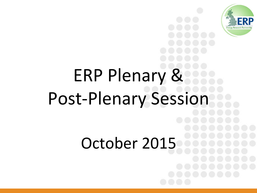

# ERP Plenary & Post-Plenary Session October 2015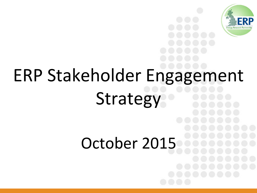

# ERP Stakeholder Engagement **Strategy**

# October 2015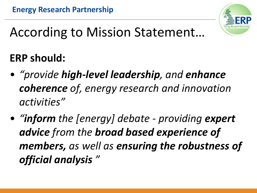

# According to Mission Statement…

#### **ERP should:**

- *"provide high-level leadership, and enhance coherence of, energy research and innovation activities"*
- *"inform the [energy] debate - providing expert advice from the broad based experience of members, as well as ensuring the robustness of official analysis "*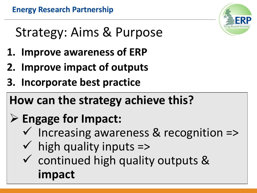

# Strategy: Aims & Purpose

- **1. Improve awareness of ERP**
- **2. Improve impact of outputs**
- **3. Incorporate best practice**

#### **How can the strategy achieve this?**

# **Engage for Impact:**

- $\checkmark$  Increasing awareness & recognition =>
- $\checkmark$  high quality inputs =>
- continued high quality outputs & **impact**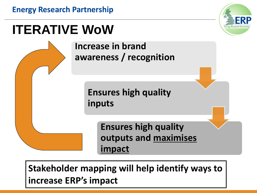# **ITERATIVE WoW**



**Stakeholder mapping will help identify ways to increase ERP's impact**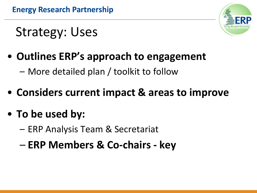

### Strategy: Uses

- **Outlines ERP's approach to engagement**
	- More detailed plan / toolkit to follow
- **Considers current impact & areas to improve**
- **To be used by:**
	- ERP Analysis Team & Secretariat
	- **ERP Members & Co-chairs - key**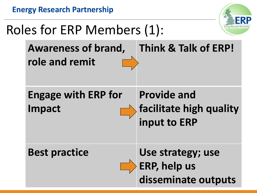**Energy Research Partnership** Roles for ERP Members (1): **Awareness of brand, Think & Talk of ERP! role and remit Engage with ERP for Impact Provide and facilitate high quality input to ERP Best practice Use strategy; use ERP, help us disseminate outputs**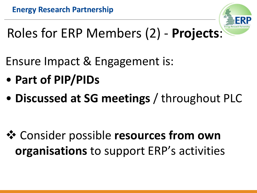

Roles for ERP Members (2) - **Projects**:

Ensure Impact & Engagement is:

- **Part of PIP/PIDs**
- **Discussed at SG meetings** / throughout PLC

**☆ Consider possible resources from own organisations** to support ERP's activities